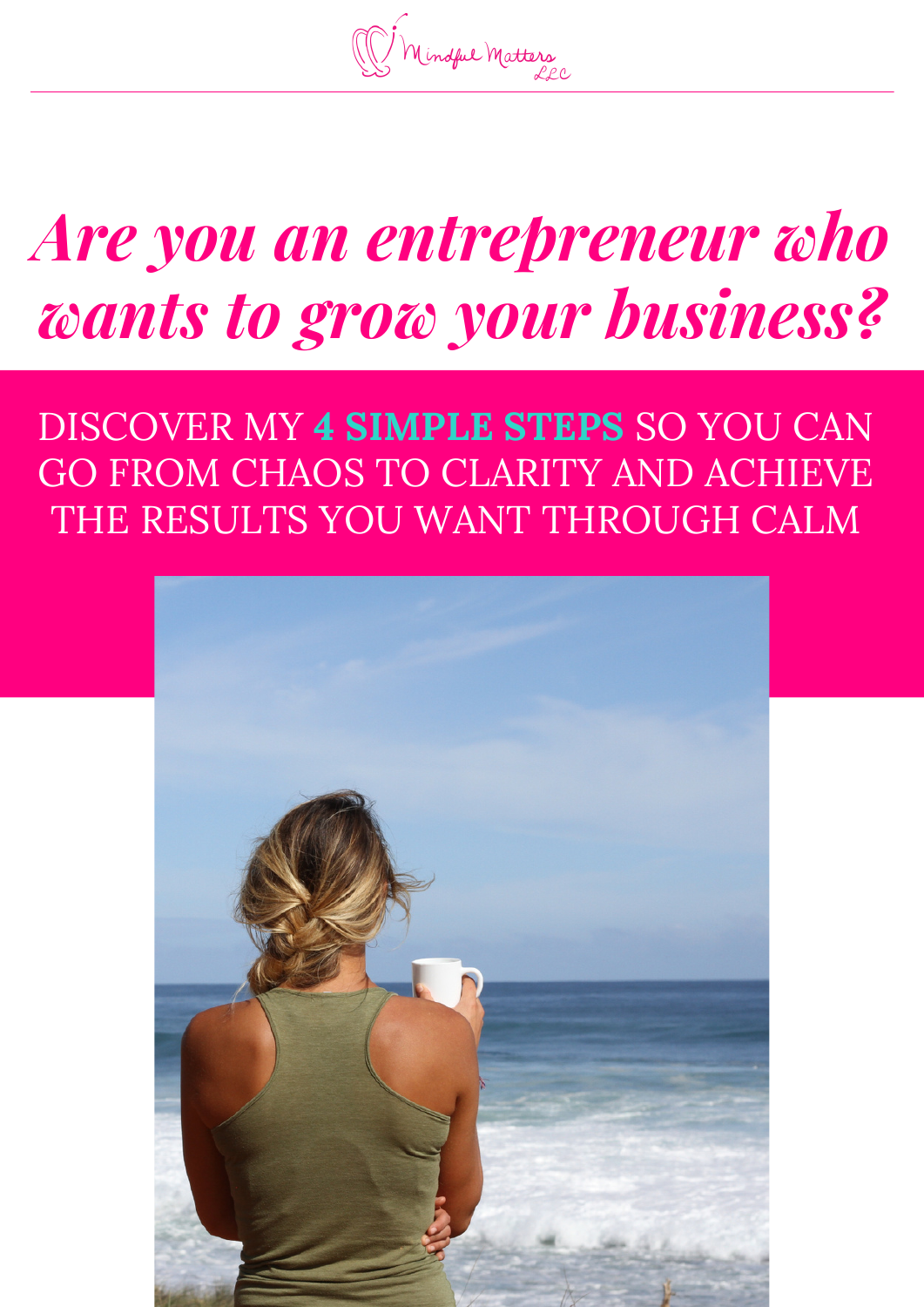Mindful Matters

# *Are you an entrepreneur who wants to grow your business?*

### DISCOVER MY **4 SIMPLE STEPS** SO YOU CAN GO FROM CHAOS TO CLARITY AND ACHIEVE THE RESULTS YOU WANT THROUGH CALM

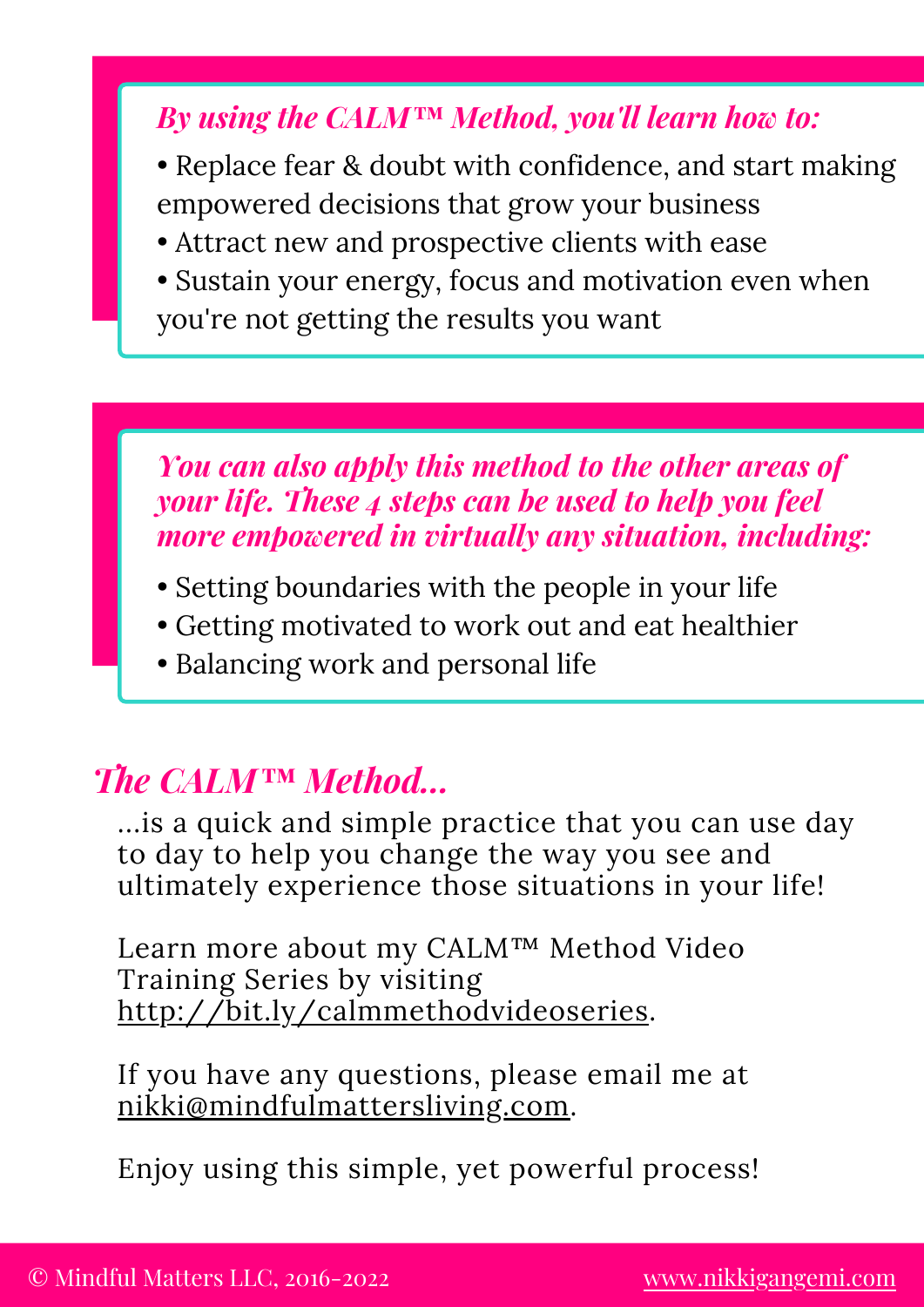### *By using the CALM™ Method, you'll learn how to:*

- Replace fear & doubt with confidence, and start making empowered decisions that grow your business
- Attract new and prospective clients with ease
- Sustain your energy, focus and motivation even when you're not getting the results you want

### *You can also apply this method to the other areas of your life. These 4 steps can be used to help you feel more empowered in virtually any situation, including:*

- Setting boundaries with the people in your life
- Getting motivated to work out and eat healthier
- Balancing work and personal life

### *The CALM™ Method...*

...is a quick and simple practice that you can use day to day to help you change the way you see and ultimately experience those situations in your life!

Learn more about my CALM™ Method Video Training Series by visiting [http://bit.ly/calmmethodvideoseries.](http://bit.ly/calmmethodvideoseries)

If you have any questions, please email me at [nikki@mindfulmattersliving.com.](mailto:nikki@mindfulmattersliving.com)

Enjoy using this simple, yet powerful process!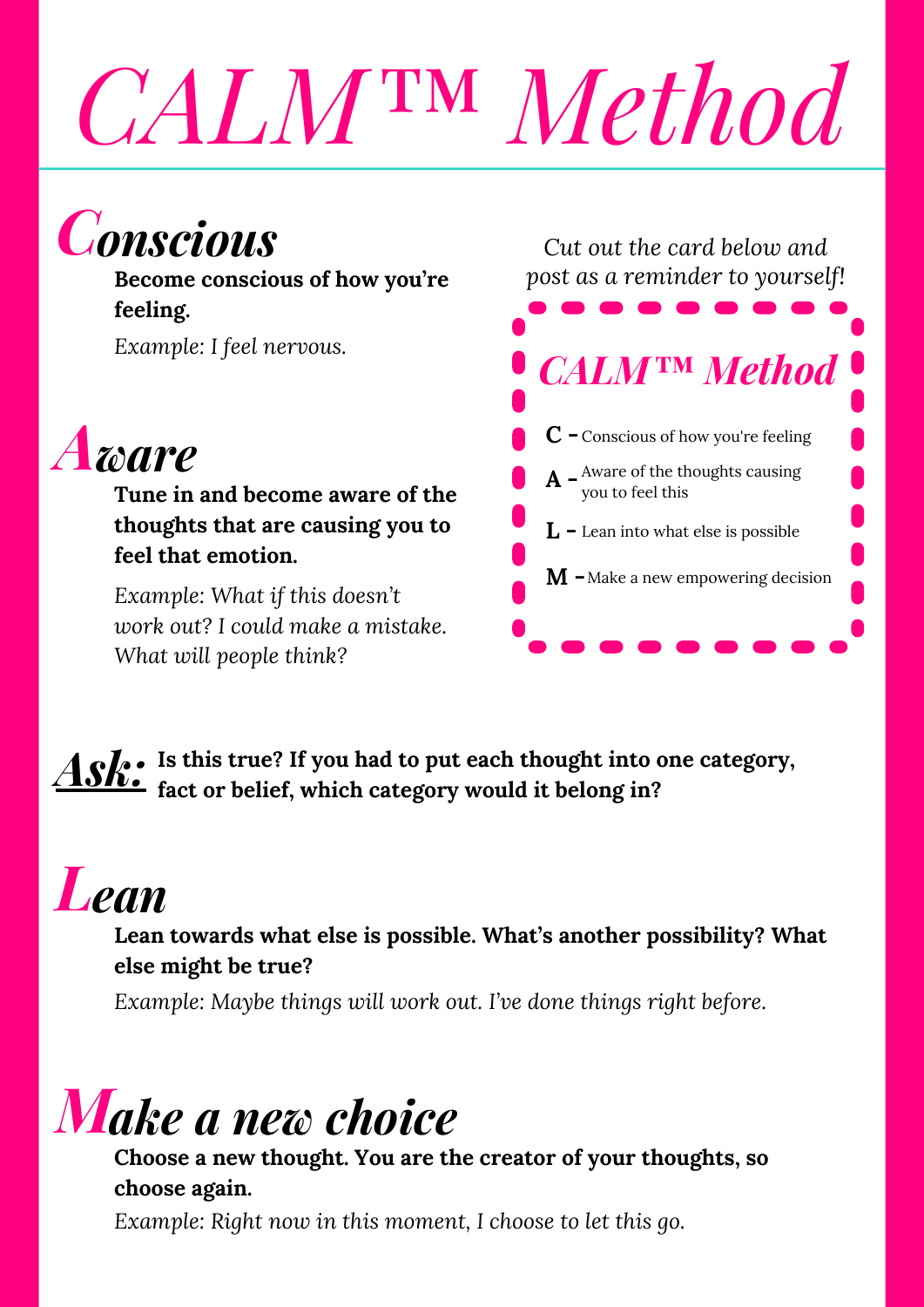# *CALM™ Method*

## **Conscious**

**Become conscious of how you're feeling.**

*Example: I feel nervous.*



**Tune in and become aware of the thoughts that are causing you to feel that emotion.**

*Example: What if this doesn't work out? I could make a mistake. What will people think?*

*Cut out the card below and post as a reminder to yourself!*



*Ask:* **Is this true? If you had to put each thought into one category, fact or belief, which category would it belong in?**

# **Lean**

#### **Lean towards what else is possible. What's another possibility? What else might be true?**

*Example: Maybe things will work out. I've done things right before.*

## *Make a new choice*

**Choose a new thought. You are the creator of your thoughts, so choose again.**

*Example: Right now in this moment, I choose to let this go.*